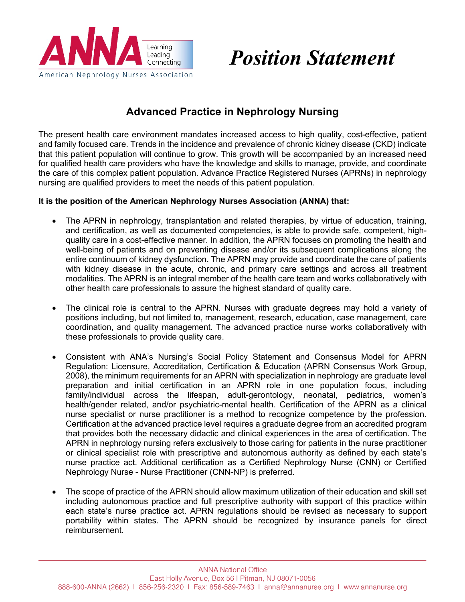

# *Position Statement*

# **Advanced Practice in Nephrology Nursing**

The present health care environment mandates increased access to high quality, cost-effective, patient and family focused care. Trends in the incidence and prevalence of chronic kidney disease (CKD) indicate that this patient population will continue to grow. This growth will be accompanied by an increased need for qualified health care providers who have the knowledge and skills to manage, provide, and coordinate the care of this complex patient population. Advance Practice Registered Nurses (APRNs) in nephrology nursing are qualified providers to meet the needs of this patient population.

#### **It is the position of the American Nephrology Nurses Association (ANNA) that:**

- The APRN in nephrology, transplantation and related therapies, by virtue of education, training, and certification, as well as documented competencies, is able to provide safe, competent, highquality care in a cost-effective manner. In addition, the APRN focuses on promoting the health and well-being of patients and on preventing disease and/or its subsequent complications along the entire continuum of kidney dysfunction. The APRN may provide and coordinate the care of patients with kidney disease in the acute, chronic, and primary care settings and across all treatment modalities. The APRN is an integral member of the health care team and works collaboratively with other health care professionals to assure the highest standard of quality care.
- The clinical role is central to the APRN. Nurses with graduate degrees may hold a variety of positions including, but not limited to, management, research, education, case management, care coordination, and quality management. The advanced practice nurse works collaboratively with these professionals to provide quality care.
- Consistent with ANA's Nursing's Social Policy Statement and Consensus Model for APRN Regulation: Licensure, Accreditation, Certification & Education (APRN Consensus Work Group, 2008), the minimum requirements for an APRN with specialization in nephrology are graduate level preparation and initial certification in an APRN role in one population focus, including family/individual across the lifespan, adult-gerontology, neonatal, pediatrics, women's health/gender related, and/or psychiatric-mental health. Certification of the APRN as a clinical nurse specialist or nurse practitioner is a method to recognize competence by the profession. Certification at the advanced practice level requires a graduate degree from an accredited program that provides both the necessary didactic and clinical experiences in the area of certification. The APRN in nephrology nursing refers exclusively to those caring for patients in the nurse practitioner or clinical specialist role with prescriptive and autonomous authority as defined by each state's nurse practice act. Additional certification as a Certified Nephrology Nurse (CNN) or Certified Nephrology Nurse - Nurse Practitioner (CNN-NP) is preferred.
- The scope of practice of the APRN should allow maximum utilization of their education and skill set including autonomous practice and full prescriptive authority with support of this practice within each state's nurse practice act. APRN regulations should be revised as necessary to support portability within states. The APRN should be recognized by insurance panels for direct reimbursement.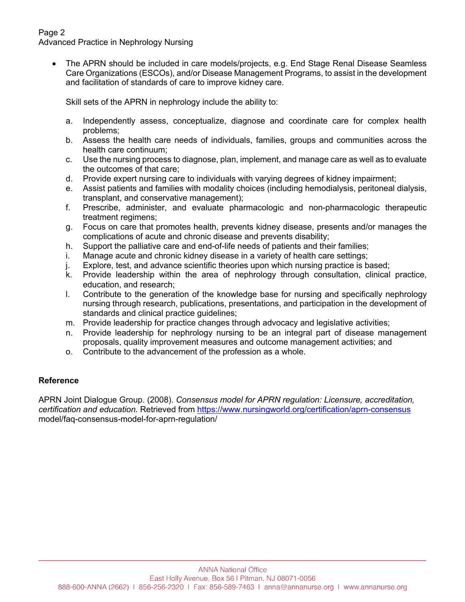# Page 2

Advanced Practice in Nephrology Nursing

• The APRN should be included in care models/projects, e.g. End Stage Renal Disease Seamless Care Organizations (ESCOs), and/or Disease Management Programs, to assist in the development and facilitation of standards of care to improve kidney care.

Skill sets of the APRN in nephrology include the ability to:

- a. Independently assess, conceptualize, diagnose and coordinate care for complex health problems;
- b. Assess the health care needs of individuals, families, groups and communities across the health care continuum;
- c. Use the nursing process to diagnose, plan, implement, and manage care as well as to evaluate the outcomes of that care;
- d. Provide expert nursing care to individuals with varying degrees of kidney impairment;
- e. Assist patients and families with modality choices (including hemodialysis, peritoneal dialysis, transplant, and conservative management);
- f. Prescribe, administer, and evaluate pharmacologic and non-pharmacologic therapeutic treatment regimens;
- g. Focus on care that promotes health, prevents kidney disease, presents and/or manages the complications of acute and chronic disease and prevents disability;
- h. Support the palliative care and end-of-life needs of patients and their families;
- i. Manage acute and chronic kidney disease in a variety of health care settings;
- j. Explore, test, and advance scientific theories upon which nursing practice is based;
- k. Provide leadership within the area of nephrology through consultation, clinical practice, education, and research;
- l. Contribute to the generation of the knowledge base for nursing and specifically nephrology nursing through research, publications, presentations, and participation in the development of standards and clinical practice guidelines;
- m. Provide leadership for practice changes through advocacy and legislative activities;
- n. Provide leadership for nephrology nursing to be an integral part of disease management proposals, quality improvement measures and outcome management activities; and
- o. Contribute to the advancement of the profession as a whole.

# **Reference**

APRN Joint Dialogue Group. (2008). *Consensus model for APRN regulation: Licensure, accreditation, certification and education.* Retrieved from https://www.nursingworld.org/certification/aprn-consensus model/faq-consensus-model-for-aprn-regulation/